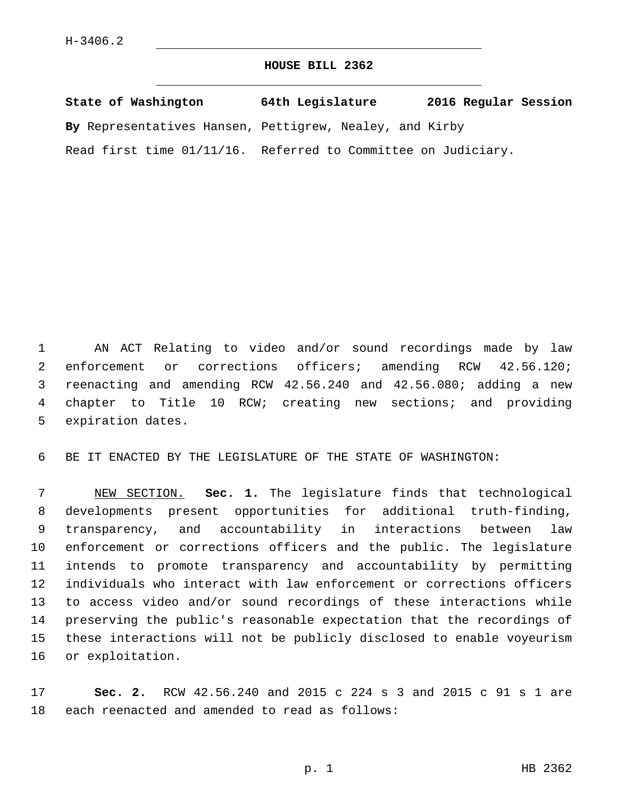## **HOUSE BILL 2362**

| State of Washington                                           | 64th Legislature | 2016 Regular Session |
|---------------------------------------------------------------|------------------|----------------------|
| By Representatives Hansen, Pettigrew, Nealey, and Kirby       |                  |                      |
| Read first time 01/11/16. Referred to Committee on Judiciary. |                  |                      |

 AN ACT Relating to video and/or sound recordings made by law 2 enforcement or corrections officers; amending RCW 42.56.120; reenacting and amending RCW 42.56.240 and 42.56.080; adding a new chapter to Title 10 RCW; creating new sections; and providing 5 expiration dates.

BE IT ENACTED BY THE LEGISLATURE OF THE STATE OF WASHINGTON:

 NEW SECTION. **Sec. 1.** The legislature finds that technological developments present opportunities for additional truth-finding, transparency, and accountability in interactions between law enforcement or corrections officers and the public. The legislature intends to promote transparency and accountability by permitting individuals who interact with law enforcement or corrections officers to access video and/or sound recordings of these interactions while preserving the public's reasonable expectation that the recordings of these interactions will not be publicly disclosed to enable voyeurism or exploitation.

 **Sec. 2.** RCW 42.56.240 and 2015 c 224 s 3 and 2015 c 91 s 1 are 18 each reenacted and amended to read as follows: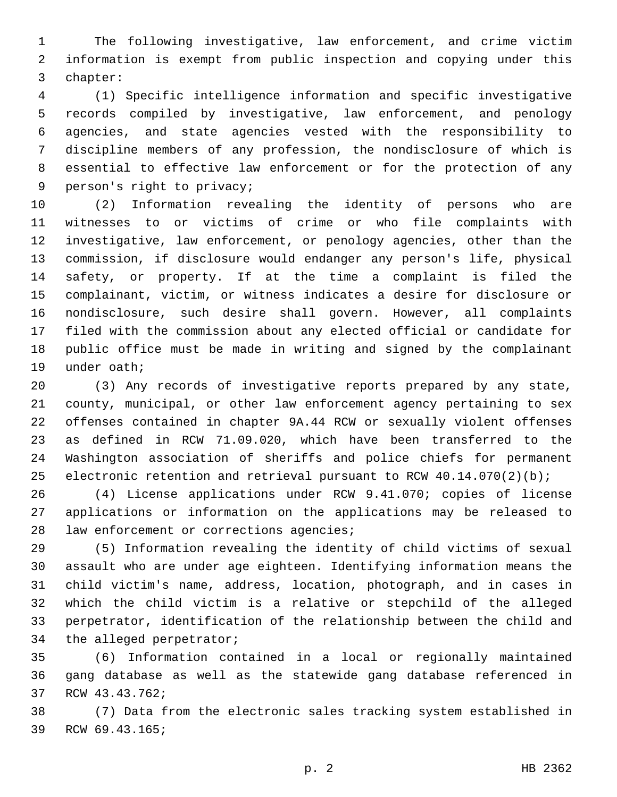The following investigative, law enforcement, and crime victim information is exempt from public inspection and copying under this 3 chapter:

 (1) Specific intelligence information and specific investigative records compiled by investigative, law enforcement, and penology agencies, and state agencies vested with the responsibility to discipline members of any profession, the nondisclosure of which is essential to effective law enforcement or for the protection of any 9 person's right to privacy;

 (2) Information revealing the identity of persons who are witnesses to or victims of crime or who file complaints with investigative, law enforcement, or penology agencies, other than the commission, if disclosure would endanger any person's life, physical safety, or property. If at the time a complaint is filed the complainant, victim, or witness indicates a desire for disclosure or nondisclosure, such desire shall govern. However, all complaints filed with the commission about any elected official or candidate for public office must be made in writing and signed by the complainant 19 under oath;

 (3) Any records of investigative reports prepared by any state, county, municipal, or other law enforcement agency pertaining to sex offenses contained in chapter 9A.44 RCW or sexually violent offenses as defined in RCW 71.09.020, which have been transferred to the Washington association of sheriffs and police chiefs for permanent electronic retention and retrieval pursuant to RCW 40.14.070(2)(b);

 (4) License applications under RCW 9.41.070; copies of license applications or information on the applications may be released to 28 law enforcement or corrections agencies;

 (5) Information revealing the identity of child victims of sexual assault who are under age eighteen. Identifying information means the child victim's name, address, location, photograph, and in cases in which the child victim is a relative or stepchild of the alleged perpetrator, identification of the relationship between the child and 34 the alleged perpetrator;

 (6) Information contained in a local or regionally maintained gang database as well as the statewide gang database referenced in 37 RCW 43.43.762;

 (7) Data from the electronic sales tracking system established in 39 RCW 69.43.165;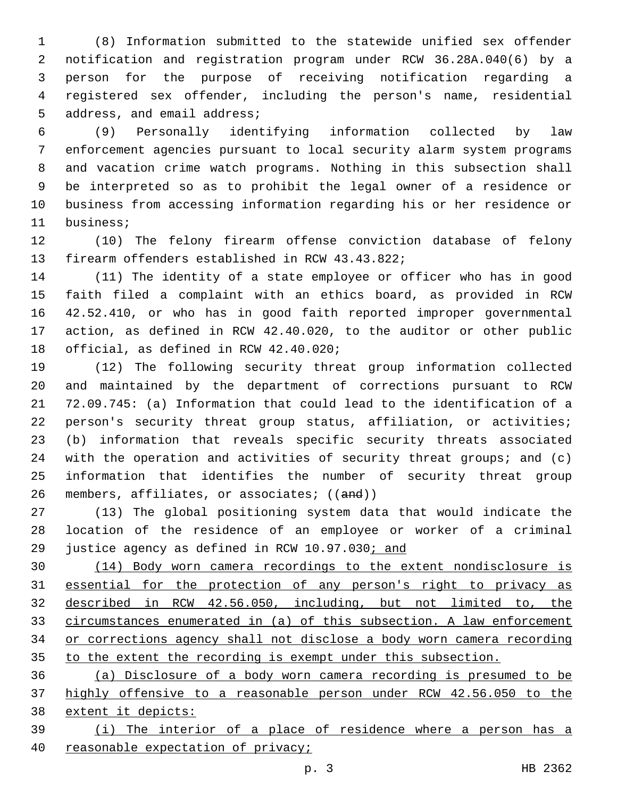(8) Information submitted to the statewide unified sex offender notification and registration program under RCW 36.28A.040(6) by a person for the purpose of receiving notification regarding a registered sex offender, including the person's name, residential 5 address, and email address;

 (9) Personally identifying information collected by law enforcement agencies pursuant to local security alarm system programs and vacation crime watch programs. Nothing in this subsection shall be interpreted so as to prohibit the legal owner of a residence or business from accessing information regarding his or her residence or 11 business;

 (10) The felony firearm offense conviction database of felony 13 firearm offenders established in RCW 43.43.822;

 (11) The identity of a state employee or officer who has in good faith filed a complaint with an ethics board, as provided in RCW 42.52.410, or who has in good faith reported improper governmental action, as defined in RCW 42.40.020, to the auditor or other public 18 official, as defined in RCW 42.40.020;

 (12) The following security threat group information collected and maintained by the department of corrections pursuant to RCW 72.09.745: (a) Information that could lead to the identification of a 22 person's security threat group status, affiliation, or activities; (b) information that reveals specific security threats associated 24 with the operation and activities of security threat groups; and (c) information that identifies the number of security threat group 26 members, affiliates, or associates; ((and))

 (13) The global positioning system data that would indicate the location of the residence of an employee or worker of a criminal 29 justice agency as defined in RCW 10.97.030; and

 (14) Body worn camera recordings to the extent nondisclosure is essential for the protection of any person's right to privacy as described in RCW 42.56.050, including, but not limited to, the circumstances enumerated in (a) of this subsection. A law enforcement or corrections agency shall not disclose a body worn camera recording to the extent the recording is exempt under this subsection.

 (a) Disclosure of a body worn camera recording is presumed to be highly offensive to a reasonable person under RCW 42.56.050 to the extent it depicts:

 (i) The interior of a place of residence where a person has a reasonable expectation of privacy;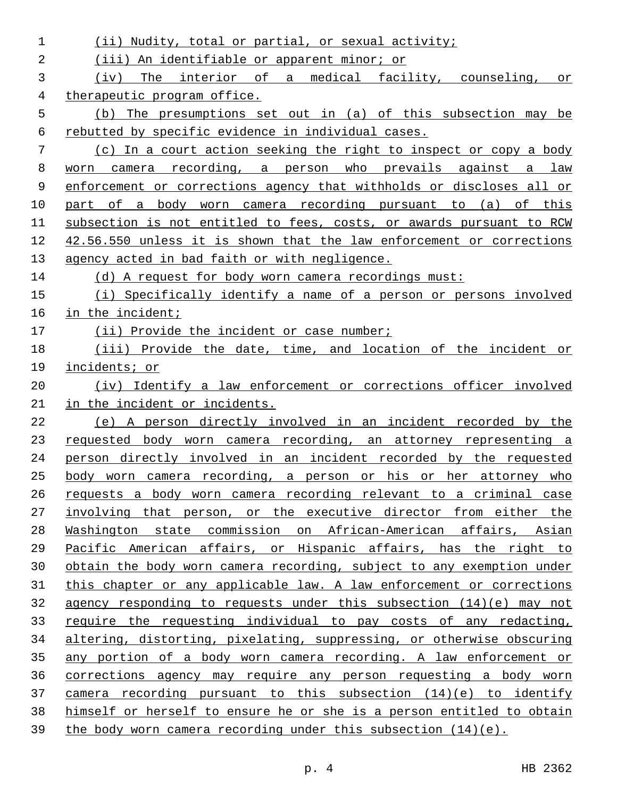| 1  | Nudity, total or partial, or sexual activity;<br>(iii)                |
|----|-----------------------------------------------------------------------|
| 2  | (iii) An identifiable or apparent minor; or                           |
| 3  | The interior of a medical facility, counseling, or<br>(iv)            |
| 4  | therapeutic program office.                                           |
| 5  | (b) The presumptions set out in (a) of this subsection may be         |
| 6  | rebutted by specific evidence in individual cases.                    |
| 7  | (c) In a court action seeking the right to inspect or copy a body     |
| 8  | worn camera recording, a person who prevails against a<br>law         |
| 9  | enforcement or corrections agency that withholds or discloses all or  |
| 10 | part of a body worn camera recording pursuant to (a) of this          |
| 11 | subsection is not entitled to fees, costs, or awards pursuant to RCW  |
| 12 | 42.56.550 unless it is shown that the law enforcement or corrections  |
| 13 | agency acted in bad faith or with negligence.                         |
| 14 | (d) A request for body worn camera recordings must:                   |
| 15 | (i) Specifically identify a name of a person or persons involved      |
| 16 | in the incident;                                                      |
| 17 | (ii) Provide the incident or case number;                             |
| 18 | (iii) Provide the date, time, and location of the incident or         |
| 19 | incidents; or                                                         |
| 20 | (iv) Identify a law enforcement or corrections officer involved       |
| 21 | in the incident or incidents.                                         |
| 22 | (e) A person directly involved in an incident recorded by the         |
| 23 | requested body worn camera recording, an attorney representing a      |
| 24 | person directly involved in an incident recorded by the requested     |
| 25 | body worn camera recording, a person or his or her attorney who       |
| 26 | requests a body worn camera recording relevant to a criminal case     |
| 27 | involving that person, or the executive director from either the      |
| 28 | Washington state commission on African-American affairs, Asian        |
| 29 | Pacific American affairs, or Hispanic affairs, has the right to       |
| 30 | obtain the body worn camera recording, subject to any exemption under |
| 31 | this chapter or any applicable law. A law enforcement or corrections  |
| 32 | agency responding to requests under this subsection $(14)(e)$ may not |
| 33 | require the requesting individual to pay costs of any redacting,      |
| 34 | altering, distorting, pixelating, suppressing, or otherwise obscuring |
| 35 | any portion of a body worn camera recording. A law enforcement or     |
| 36 | corrections agency may require any person requesting a body worn      |
| 37 | camera recording pursuant to this subsection $(14)(e)$ to identify    |
| 38 | himself or herself to ensure he or she is a person entitled to obtain |
| 39 | the body worn camera recording under this subsection $(14)(e)$ .      |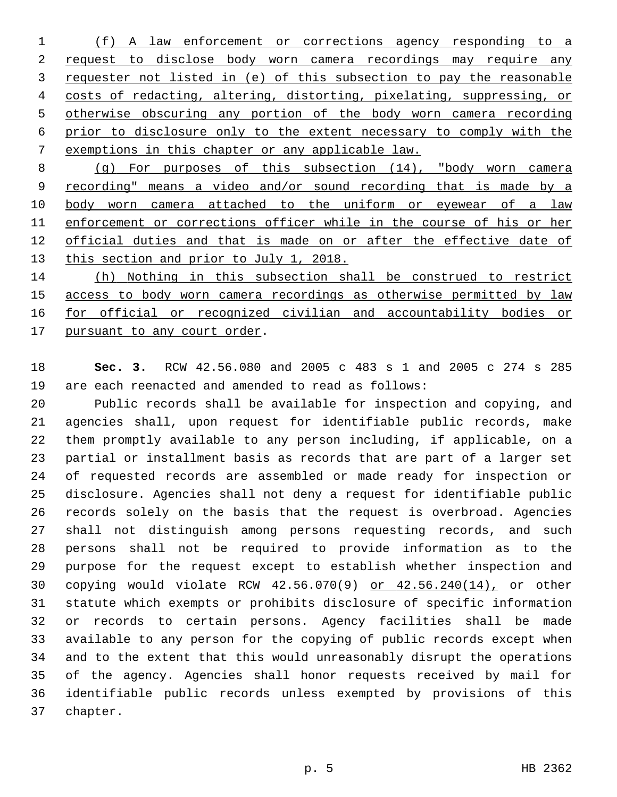(f) A law enforcement or corrections agency responding to a request to disclose body worn camera recordings may require any requester not listed in (e) of this subsection to pay the reasonable costs of redacting, altering, distorting, pixelating, suppressing, or otherwise obscuring any portion of the body worn camera recording prior to disclosure only to the extent necessary to comply with the exemptions in this chapter or any applicable law.

 (g) For purposes of this subsection (14), "body worn camera recording" means a video and/or sound recording that is made by a 10 body worn camera attached to the uniform or eyewear of a law enforcement or corrections officer while in the course of his or her official duties and that is made on or after the effective date of 13 this section and prior to July 1, 2018.

 (h) Nothing in this subsection shall be construed to restrict access to body worn camera recordings as otherwise permitted by law for official or recognized civilian and accountability bodies or 17 pursuant to any court order.

 **Sec. 3.** RCW 42.56.080 and 2005 c 483 s 1 and 2005 c 274 s 285 are each reenacted and amended to read as follows:

 Public records shall be available for inspection and copying, and agencies shall, upon request for identifiable public records, make them promptly available to any person including, if applicable, on a partial or installment basis as records that are part of a larger set of requested records are assembled or made ready for inspection or disclosure. Agencies shall not deny a request for identifiable public records solely on the basis that the request is overbroad. Agencies shall not distinguish among persons requesting records, and such persons shall not be required to provide information as to the purpose for the request except to establish whether inspection and copying would violate RCW 42.56.070(9) or 42.56.240(14), or other statute which exempts or prohibits disclosure of specific information or records to certain persons. Agency facilities shall be made available to any person for the copying of public records except when and to the extent that this would unreasonably disrupt the operations of the agency. Agencies shall honor requests received by mail for identifiable public records unless exempted by provisions of this 37 chapter.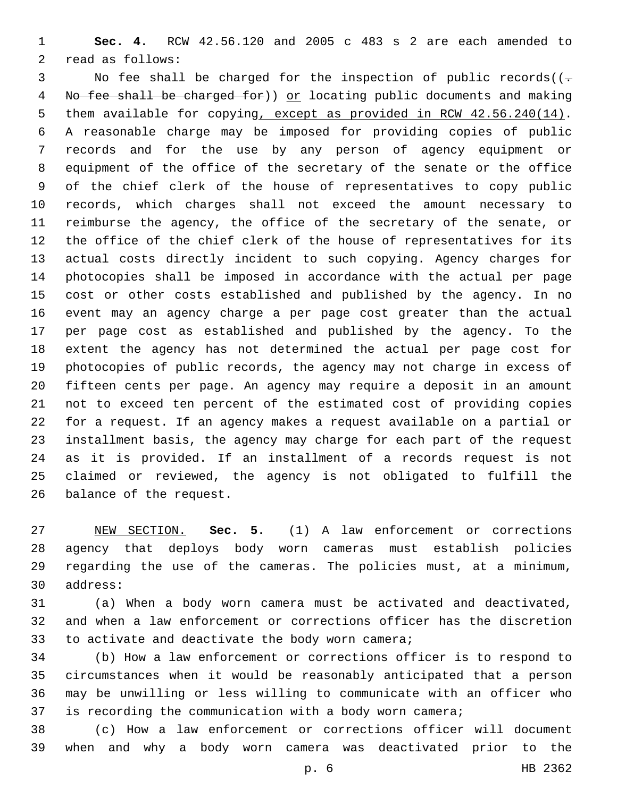**Sec. 4.** RCW 42.56.120 and 2005 c 483 s 2 are each amended to 2 read as follows:

3 No fee shall be charged for the inspection of public records( $(-$ 4 No fee shall be charged for) or locating public documents and making 5 them available for copying, except as provided in RCW 42.56.240(14). A reasonable charge may be imposed for providing copies of public records and for the use by any person of agency equipment or equipment of the office of the secretary of the senate or the office of the chief clerk of the house of representatives to copy public records, which charges shall not exceed the amount necessary to reimburse the agency, the office of the secretary of the senate, or the office of the chief clerk of the house of representatives for its actual costs directly incident to such copying. Agency charges for photocopies shall be imposed in accordance with the actual per page cost or other costs established and published by the agency. In no event may an agency charge a per page cost greater than the actual per page cost as established and published by the agency. To the extent the agency has not determined the actual per page cost for photocopies of public records, the agency may not charge in excess of fifteen cents per page. An agency may require a deposit in an amount not to exceed ten percent of the estimated cost of providing copies for a request. If an agency makes a request available on a partial or installment basis, the agency may charge for each part of the request as it is provided. If an installment of a records request is not claimed or reviewed, the agency is not obligated to fulfill the 26 balance of the request.

 NEW SECTION. **Sec. 5.** (1) A law enforcement or corrections agency that deploys body worn cameras must establish policies regarding the use of the cameras. The policies must, at a minimum, address:

 (a) When a body worn camera must be activated and deactivated, and when a law enforcement or corrections officer has the discretion 33 to activate and deactivate the body worn camera;

 (b) How a law enforcement or corrections officer is to respond to circumstances when it would be reasonably anticipated that a person may be unwilling or less willing to communicate with an officer who is recording the communication with a body worn camera;

 (c) How a law enforcement or corrections officer will document when and why a body worn camera was deactivated prior to the

p. 6 HB 2362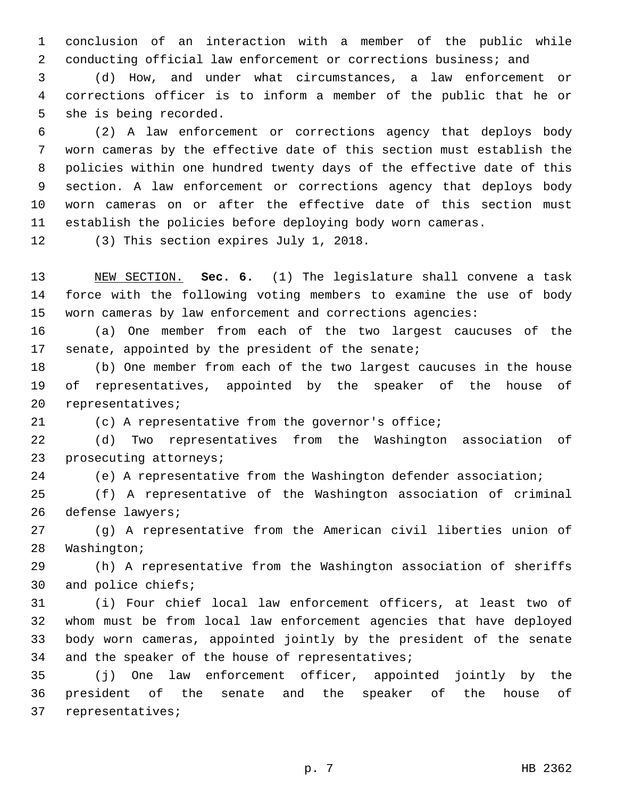conclusion of an interaction with a member of the public while conducting official law enforcement or corrections business; and

 (d) How, and under what circumstances, a law enforcement or corrections officer is to inform a member of the public that he or 5 she is being recorded.

 (2) A law enforcement or corrections agency that deploys body worn cameras by the effective date of this section must establish the policies within one hundred twenty days of the effective date of this section. A law enforcement or corrections agency that deploys body worn cameras on or after the effective date of this section must establish the policies before deploying body worn cameras.

12 (3) This section expires July 1, 2018.

 NEW SECTION. **Sec. 6.** (1) The legislature shall convene a task force with the following voting members to examine the use of body worn cameras by law enforcement and corrections agencies:

 (a) One member from each of the two largest caucuses of the senate, appointed by the president of the senate;

 (b) One member from each of the two largest caucuses in the house of representatives, appointed by the speaker of the house of 20 representatives;

(c) A representative from the governor's office;

 (d) Two representatives from the Washington association of 23 prosecuting attorneys;

(e) A representative from the Washington defender association;

 (f) A representative of the Washington association of criminal 26 defense lawyers;

 (g) A representative from the American civil liberties union of 28 Washington;

 (h) A representative from the Washington association of sheriffs 30 and police chiefs;

 (i) Four chief local law enforcement officers, at least two of whom must be from local law enforcement agencies that have deployed body worn cameras, appointed jointly by the president of the senate 34 and the speaker of the house of representatives;

 (j) One law enforcement officer, appointed jointly by the president of the senate and the speaker of the house of 37 representatives;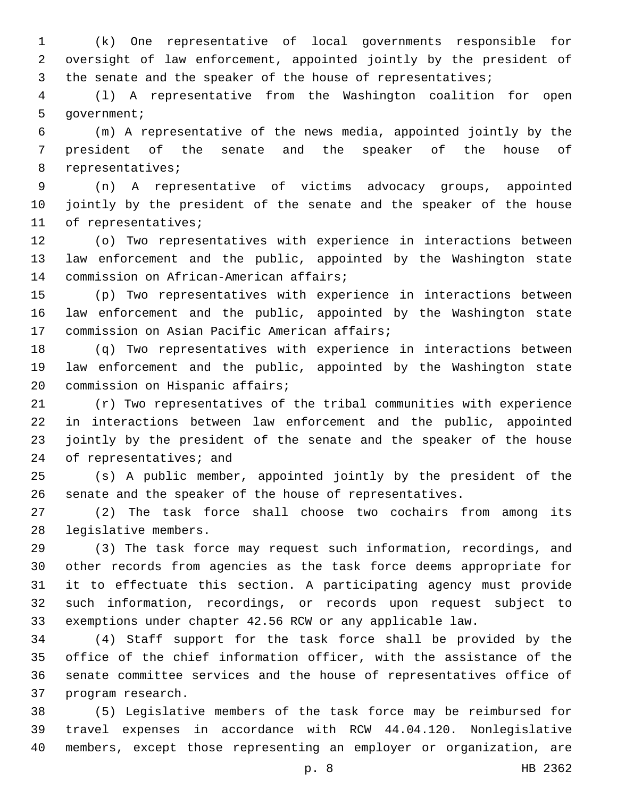(k) One representative of local governments responsible for oversight of law enforcement, appointed jointly by the president of 3 the senate and the speaker of the house of representatives;

 (l) A representative from the Washington coalition for open 5 qovernment;

 (m) A representative of the news media, appointed jointly by the president of the senate and the speaker of the house of 8 representatives;

 (n) A representative of victims advocacy groups, appointed jointly by the president of the senate and the speaker of the house 11 of representatives;

 (o) Two representatives with experience in interactions between law enforcement and the public, appointed by the Washington state 14 commission on African-American affairs;

 (p) Two representatives with experience in interactions between law enforcement and the public, appointed by the Washington state 17 commission on Asian Pacific American affairs;

 (q) Two representatives with experience in interactions between law enforcement and the public, appointed by the Washington state 20 commission on Hispanic affairs;

 (r) Two representatives of the tribal communities with experience in interactions between law enforcement and the public, appointed jointly by the president of the senate and the speaker of the house 24 of representatives; and

 (s) A public member, appointed jointly by the president of the senate and the speaker of the house of representatives.

 (2) The task force shall choose two cochairs from among its 28 legislative members.

 (3) The task force may request such information, recordings, and other records from agencies as the task force deems appropriate for it to effectuate this section. A participating agency must provide such information, recordings, or records upon request subject to exemptions under chapter 42.56 RCW or any applicable law.

 (4) Staff support for the task force shall be provided by the office of the chief information officer, with the assistance of the senate committee services and the house of representatives office of 37 program research.

 (5) Legislative members of the task force may be reimbursed for travel expenses in accordance with RCW 44.04.120. Nonlegislative members, except those representing an employer or organization, are